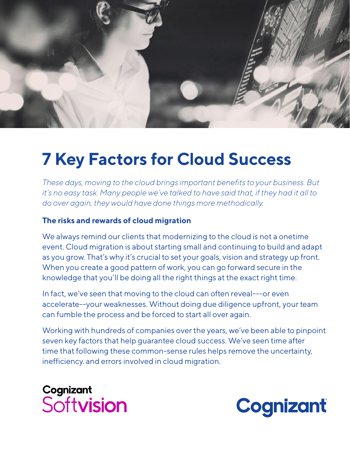

# **7 Key Factors for Cloud Success**

*These days, moving to the cloud brings important benefits to your business. But it's no easy task. Many people we've talked to have said that, if they had it all to do over again, they would have done things more methodically.*

#### **The risks and rewards of cloud migration**

We always remind our clients that modernizing to the cloud is not a onetime event. Cloud migration is about starting small and continuing to build and adapt as you grow. That's why it's crucial to set your goals, vision and strategy up front. When you create a good pattern of work, you can go forward secure in the knowledge that you'll be doing all the right things at the exact right time.

In fact, we've seen that moving to the cloud can often reveal---or even accelerate--your weaknesses. Without doing due diligence upfront, your team can fumble the process and be forced to start all over again.

Working with hundreds of companies over the years, we've been able to pinpoint seven key factors that help guarantee cloud success. We've seen time after time that following these common-sense rules helps remove the uncertainty, inefficiency. and errors involved in cloud migration.

### Cognizant Softvision

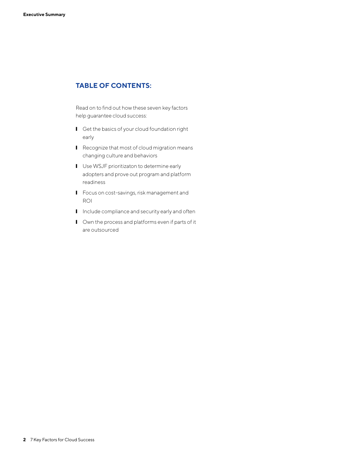#### **TABLE OF CONTENTS:**

Read on to find out how these seven key factors help guarantee cloud success:

- Get the basics of your cloud foundation right early
- Recognize that most of cloud migration means changing culture and behaviors
- Use WSJF prioritizaton to determine early adopters and prove out program and platform readiness
- Focus on cost-savings, risk management and ROI
- Include compliance and security early and often
- Own the process and platforms even if parts of it are outsourced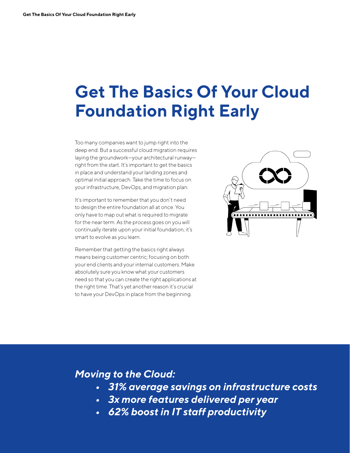## **Get The Basics Of Your Cloud Foundation Right Early**

Too many companies want to jump right into the deep end. But a successful cloud migration requires laying the groundwork—your architectural runway right from the start. It's important to get the basics in place and understand your landing zones and optimal initial approach. Take the time to focus on your infrastructure, DevOps, and migration plan.

It's important to remember that you don't need to design the entire foundation all at once. You only have to map out what is required to migrate for the near term. As the process goes on you will continually iterate upon your initial foundation; it's smart to evolve as you learn.

Remember that getting the basics right always means being customer centric; focusing on both your end clients and your internal customers. Make absolutely sure you know what your customers need so that you can create the right applications at the right time. That's yet another reason it's crucial to have your DevOps in place from the beginning.



#### *Moving to the Cloud:*

- *31% average savings on infrastructure costs*
- *3x more features delivered per year*
- *62% boost in IT staff productivity*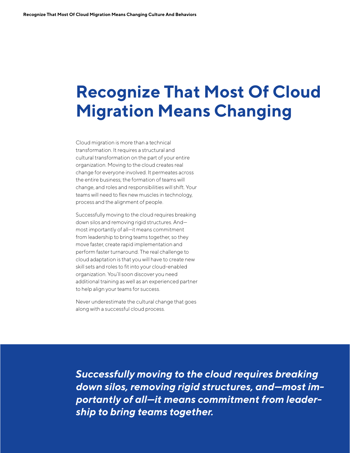# **Recognize That Most Of Cloud Migration Means Changing**

Cloud migration is more than a technical transformation. It requires a structural and cultural transformation on the part of your entire organization. Moving to the cloud creates real change for everyone involved. It permeates across the entire business; the formation of teams will change, and roles and responsibilities will shift. Your teams will need to flex new muscles in technology, process and the alignment of people.

Successfully moving to the cloud requires breaking down silos and removing rigid structures. And most importantly of all—it means commitment from leadership to bring teams together, so they move faster, create rapid implementation and perform faster turnaround. The real challenge to cloud adaptation is that you will have to create new skill sets and roles to fit into your cloud-enabled organization. You'll soon discover you need additional training as well as an experienced partner to help align your teams for success.

Never underestimate the cultural change that goes along with a successful cloud process.

*Successfully moving to the cloud requires breaking down silos, removing rigid structures, and—most importantly of all—it means commitment from leadership to bring teams together.*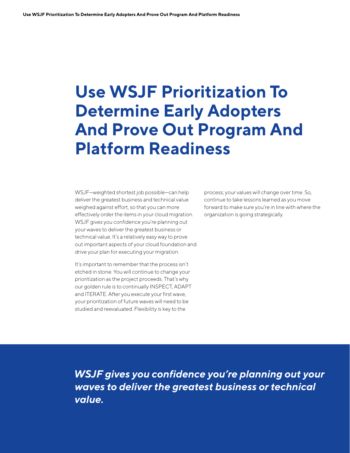# **Use WSJF Prioritization To Determine Early Adopters And Prove Out Program And Platform Readiness**

WSJF—weighted shortest job possible—can help deliver the greatest business and technical value weighed against effort, so that you can more effectively order the items in your cloud migration. WSJF gives you confidence you're planning out your waves to deliver the greatest business or technical value. It's a relatively easy way to prove out important aspects of your cloud foundation and drive your plan for executing your migration.

It's important to remember that the process isn't etched in stone. You will continue to change your prioritization as the project proceeds. That's why our golden rule is to continually INSPECT, ADAPT and ITERATE. After you execute your first wave, your prioritization of future waves will need to be studied and reevaluated. Flexibility is key to the

process; your values will change over time. So, continue to take lessons learned as you move forward to make sure you're in line with where the organization is going strategically.

*WSJF gives you confidence you're planning out your waves to deliver the greatest business or technical value.*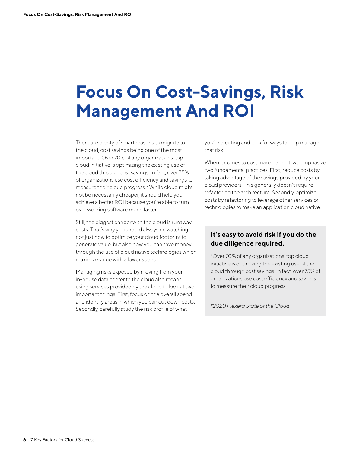# **Focus On Cost-Savings, Risk Management And ROI**

There are plenty of smart reasons to migrate to the cloud, cost savings being one of the most important. Over 70% of any organizations' top cloud initiative is optimizing the existing use of the cloud through cost savings. In fact, over 75% of organizations use cost efficiency and savings to measure their cloud progress.\* While cloud might not be necessarily cheaper, it should help you achieve a better ROI because you're able to turn over working software much faster.

Still, the biggest danger with the cloud is runaway costs. That's why you should always be watching not just how to optimize your cloud footprint to generate value, but also how you can save money through the use of cloud native technologies which maximize value with a lower spend.

Managing risks exposed by moving from your in-house data center to the cloud also means using services provided by the cloud to look at two important things. First, focus on the overall spend and identify areas in which you can cut down costs. Secondly, carefully study the risk profile of what

you're creating and look for ways to help manage that risk.

When it comes to cost management, we emphasize two fundamental practices. First, reduce costs by taking advantage of the savings provided by your cloud providers. This generally doesn't require refactoring the architecture. Secondly, optimize costs by refactoring to leverage other services or technologies to make an application cloud native.

#### **It's easy to avoid risk if you do the due diligence required.**

\*Over 70% of any organizations' top cloud initiative is optimizing the existing use of the cloud through cost savings. In fact, over 75% of organizations use cost efficiency and savings to measure their cloud progress.

*\*2020 Flexera State of the Cloud*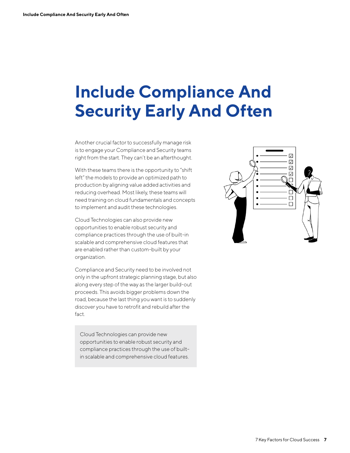# **Include Compliance And Security Early And Often**

Another crucial factor to successfully manage risk is to engage your Compliance and Security teams right from the start. They can't be an afterthought.

With these teams there is the opportunity to "shift left" the models to provide an optimized path to production by aligning value added activities and reducing overhead. Most likely, these teams will need training on cloud fundamentals and concepts to implement and audit these technologies.

Cloud Technologies can also provide new opportunities to enable robust security and compliance practices through the use of built-in scalable and comprehensive cloud features that are enabled rather than custom-built by your organization.

Compliance and Security need to be involved not only in the upfront strategic planning stage, but also along every step of the way as the larger build-out proceeds. This avoids bigger problems down the road, because the last thing you want is to suddenly discover you have to retrofit and rebuild after the fact.

Cloud Technologies can provide new opportunities to enable robust security and compliance practices through the use of builtin scalable and comprehensive cloud features.

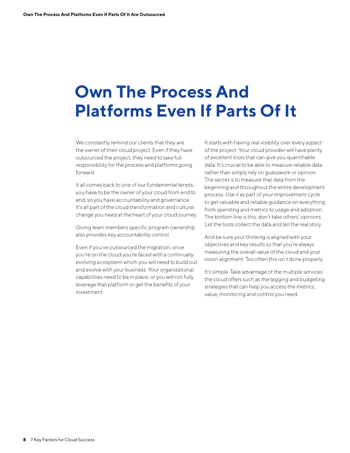# **Own The Process And Platforms Even If Parts Of It**

We constantly remind our clients that they are the owner of their cloud project. Even if they have outsourced the project, they need to take full responsibility for the process and platforms going forward.

It all comes back to one of our fundamental tenets: you have to be the owner of your cloud from end to end, so you have accountability and governance. It's all part of the cloud transformation and cultural change you need at the heart of your cloud journey.

Giving team members specific program ownership also provides key accountability control.

Even if you've outsourced the migration, once you're on the cloud you're faced with a continually evolving ecosystem which you will need to build out and evolve with your business. Your organizational capabilities need to be in place, or you will not fully leverage that platform or get the benefits of your investment.

It starts with having real visibility over every aspect of the project. Your cloud provider will have plenty of excellent tools that can give you quantifiable data. It's crucial to be able to measure reliable data rather than simply rely on guesswork or opinion. The secret is to measure that data from the beginning and throughout the entire development process. Use it as part of your improvement cycle to get valuable and reliable guidance on everything from spending and metrics to usage and adoption. The bottom line is this: don't take others' opinions. Let the tools collect the data and tell the real story.

And be sure your thinking is aligned with your objectives and key results so that you're always measuring the overall value of the cloud and your vision alignment. Too often this isn't done properly.

It's simple. Take advantage of the multiple services the cloud offers such as the tagging and budgeting strategies that can help you access the metrics, value, monitoring and control you need.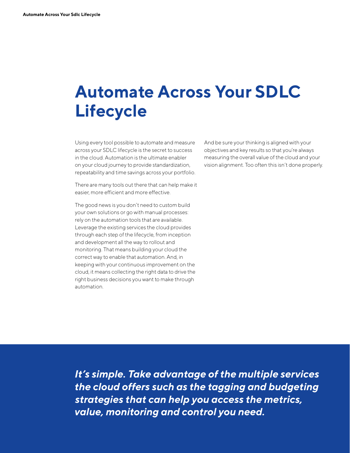# **Automate Across Your SDLC Lifecycle**

Using every tool possible to automate and measure across your SDLC lifecycle is the secret to success in the cloud. Automation is the ultimate enabler on your cloud journey to provide standardization, repeatability and time savings across your portfolio.

There are many tools out there that can help make it easier, more efficient and more effective.

The good news is you don't need to custom build your own solutions or go with manual processes: rely on the automation tools that are available. Leverage the existing services the cloud provides through each step of the lifecycle, from inception and development all the way to rollout and monitoring. That means building your cloud the correct way to enable that automation. And, in keeping with your continuous improvement on the cloud, it means collecting the right data to drive the right business decisions you want to make through automation.

And be sure your thinking is aligned with your objectives and key results so that you're always measuring the overall value of the cloud and your vision alignment. Too often this isn't done properly.

*It's simple. Take advantage of the multiple services the cloud offers such as the tagging and budgeting strategies that can help you access the metrics, value, monitoring and control you need.*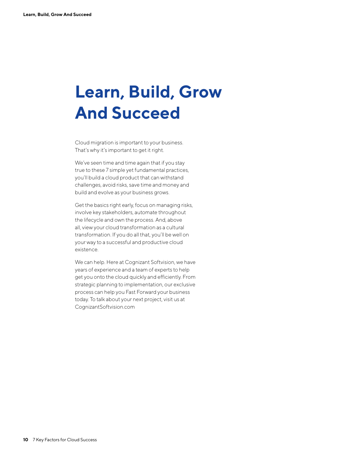# **Learn, Build, Grow And Succeed**

Cloud migration is important to your business. That's why it's important to get it right.

We've seen time and time again that if you stay true to these 7 simple yet fundamental practices, you'll build a cloud product that can withstand challenges, avoid risks, save time and money and build and evolve as your business grows.

Get the basics right early, focus on managing risks, involve key stakeholders, automate throughout the lifecycle and own the process. And, above all, view your cloud transformation as a cultural transformation. If you do all that, you'll be well on your way to a successful and productive cloud existence.

We can help. Here at Cognizant Softvision, we have years of experience and a team of experts to help get you onto the cloud quickly and efficiently. From strategic planning to implementation, our exclusive process can help you Fast Forward your business today. To talk about your next project, visit us at CognizantSoftvision.com